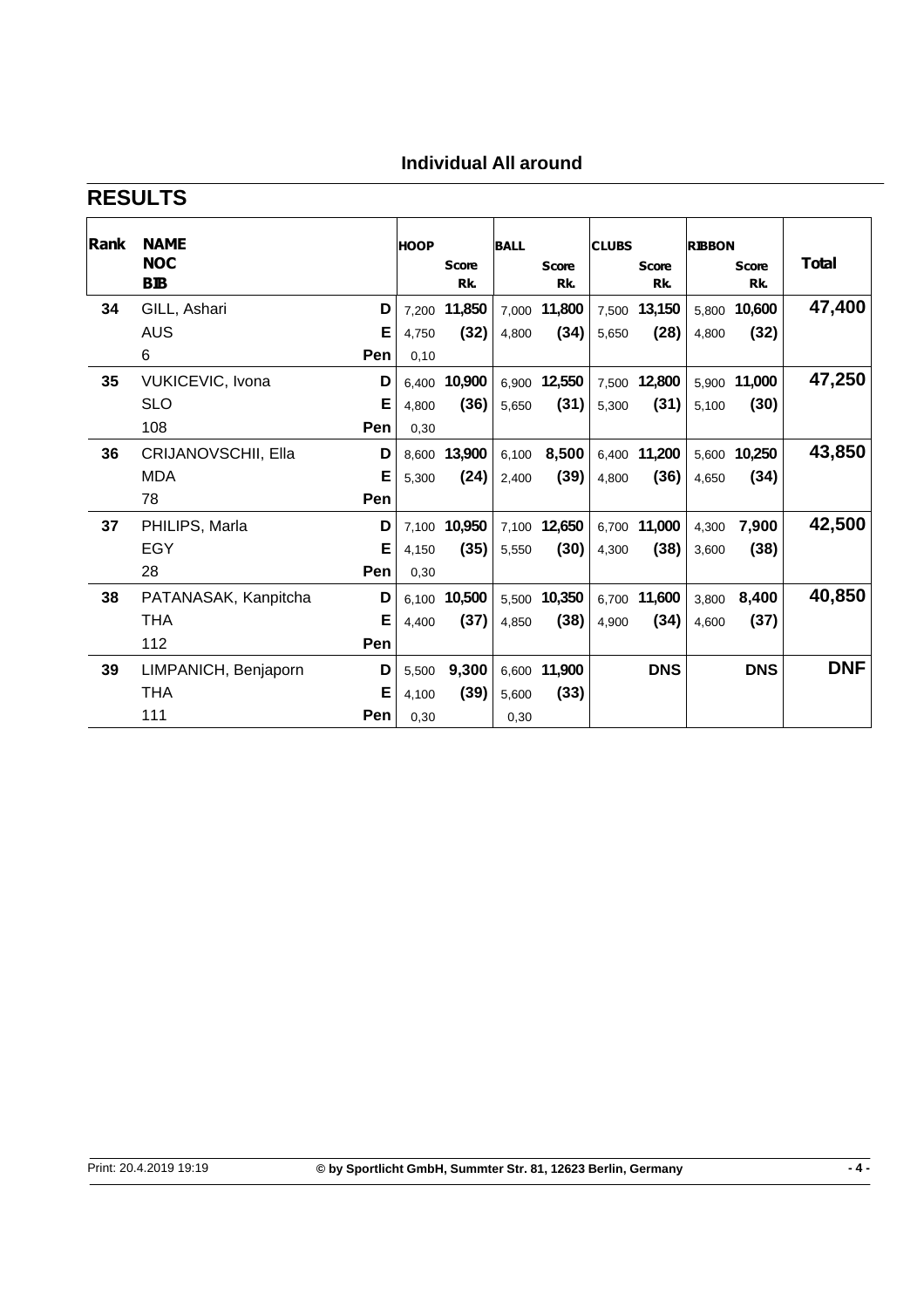# **Individual All around**

# **RESULTS**

| Rank | <b>NAME</b><br><b>NOC</b><br><b>BIB</b> |            | <b>HOOP</b> | <b>Score</b><br>Rk. | <b>BALL</b> | <b>Score</b><br>Rk. | <b>CLUBS</b> | <b>Score</b><br>Rk. | <b>RIBBON</b> | <b>Score</b><br>Rk. | Total      |
|------|-----------------------------------------|------------|-------------|---------------------|-------------|---------------------|--------------|---------------------|---------------|---------------------|------------|
| 34   | GILL, Ashari                            | D          |             | 7,200 11,850        |             | 7,000 11,800        |              | 7,500 13,150        |               | 5,800 10,600        | 47,400     |
|      | <b>AUS</b>                              | Е          | 4,750       | (32)                | 4,800       | (34)                | 5,650        | (28)                | 4,800         | (32)                |            |
|      | 6                                       | Pen        | 0,10        |                     |             |                     |              |                     |               |                     |            |
| 35   | VUKICEVIC, Ivona                        | D          | 6.400       | 10,900              | 6.900       | 12,550              | 7,500        | 12,800              | 5.900         | 11,000              | 47,250     |
|      | <b>SLO</b>                              | Е          | 4,800       | (36)                | 5,650       | (31)                | 5,300        | (31)                | 5,100         | (30)                |            |
|      | 108                                     | <b>Pen</b> | 0.30        |                     |             |                     |              |                     |               |                     |            |
| 36   | CRIJANOVSCHII, Ella                     | D          | 8.600       | 13,900              | 6.100       | 8,500               | 6,400        | 11,200              | 5.600         | 10,250              | 43,850     |
|      | <b>MDA</b>                              | Е          | 5.300       | (24)                | 2.400       | (39)                | 4.800        | (36)                | 4.650         | (34)                |            |
|      | 78                                      | Pen        |             |                     |             |                     |              |                     |               |                     |            |
| 37   | PHILIPS, Marla                          | D          |             | 7,100 10,950        |             | 7,100 12,650        |              | 6,700 11,000        | 4.300         | 7,900               | 42,500     |
|      | EGY                                     | Е          | 4,150       | (35)                | 5.550       | (30)                | 4,300        | (38)                | 3,600         | (38)                |            |
|      | 28                                      | Pen        | 0,30        |                     |             |                     |              |                     |               |                     |            |
| 38   | PATANASAK, Kanpitcha                    | D          |             | 6,100 10,500        |             | 5,500 10,350        |              | 6,700 11,600        | 3,800         | 8,400               | 40,850     |
|      | THA                                     | Е          | 4.400       | (37)                | 4.850       | (38)                | 4,900        | (34)                | 4.600         | (37)                |            |
|      | 112                                     | Pen        |             |                     |             |                     |              |                     |               |                     |            |
| 39   | LIMPANICH, Benjaporn                    | D          | 5,500       | 9,300               | 6,600       | 11,900              |              | <b>DNS</b>          |               | <b>DNS</b>          | <b>DNF</b> |
|      | THA                                     | Е          | 4,100       | (39)                | 5.600       | (33)                |              |                     |               |                     |            |
|      | 111                                     | <b>Pen</b> | 0,30        |                     | 0,30        |                     |              |                     |               |                     |            |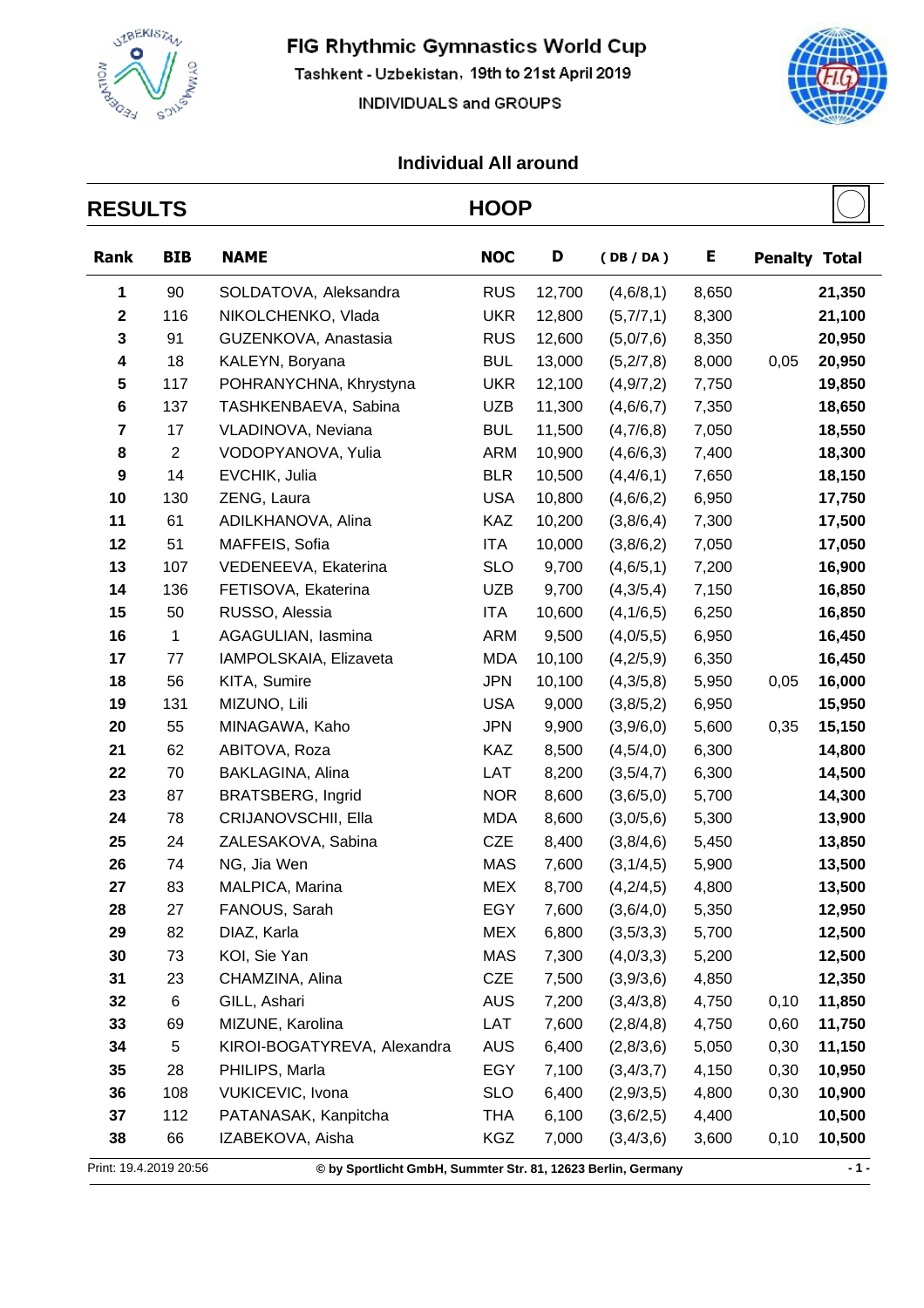

Tashkent - Uzbekistan, 19th to 21st April 2019

INDIVIDUALS and GROUPS



╒

| <b>RESULTS</b>          |                |                                                              | <b>HOOP</b> |        |             |       |                      |        |
|-------------------------|----------------|--------------------------------------------------------------|-------------|--------|-------------|-------|----------------------|--------|
| Rank                    | <b>BIB</b>     | <b>NAME</b>                                                  | <b>NOC</b>  | D      | (DB/DA)     | E     | <b>Penalty Total</b> |        |
| 1                       | 90             | SOLDATOVA, Aleksandra                                        | <b>RUS</b>  | 12,700 | (4, 6/8, 1) | 8,650 |                      | 21,350 |
| $\mathbf 2$             | 116            | NIKOLCHENKO, Vlada                                           | <b>UKR</b>  | 12,800 | (5,7/7,1)   | 8,300 |                      | 21,100 |
| 3                       | 91             | GUZENKOVA, Anastasia                                         | <b>RUS</b>  | 12,600 | (5,0/7,6)   | 8,350 |                      | 20,950 |
| 4                       | 18             | KALEYN, Boryana                                              | <b>BUL</b>  | 13,000 | (5,2/7,8)   | 8,000 | 0,05                 | 20,950 |
| 5                       | 117            | POHRANYCHNA, Khrystyna                                       | <b>UKR</b>  | 12,100 | (4, 9/7, 2) | 7,750 |                      | 19,850 |
| 6                       | 137            | TASHKENBAEVA, Sabina                                         | <b>UZB</b>  | 11,300 | (4,6/6,7)   | 7,350 |                      | 18,650 |
| $\overline{\mathbf{7}}$ | 17             | VLADINOVA, Neviana                                           | <b>BUL</b>  | 11,500 | (4,7/6,8)   | 7,050 |                      | 18,550 |
| 8                       | $\overline{2}$ | VODOPYANOVA, Yulia                                           | <b>ARM</b>  | 10,900 | (4,6/6,3)   | 7,400 |                      | 18,300 |
| 9                       | 14             | EVCHIK, Julia                                                | <b>BLR</b>  | 10,500 | (4, 4/6, 1) | 7,650 |                      | 18,150 |
| 10                      | 130            | ZENG, Laura                                                  | <b>USA</b>  | 10,800 | (4,6/6,2)   | 6,950 |                      | 17,750 |
| 11                      | 61             | ADILKHANOVA, Alina                                           | KAZ         | 10,200 | (3,8/6,4)   | 7,300 |                      | 17,500 |
| 12                      | 51             | MAFFEIS, Sofia                                               | ITA         | 10,000 | (3,8/6,2)   | 7,050 |                      | 17,050 |
| 13                      | 107            | VEDENEEVA, Ekaterina                                         | <b>SLO</b>  | 9,700  | (4, 6/5, 1) | 7,200 |                      | 16,900 |
| 14                      | 136            | FETISOVA, Ekaterina                                          | <b>UZB</b>  | 9,700  | (4,3/5,4)   | 7,150 |                      | 16,850 |
| 15                      | 50             | RUSSO, Alessia                                               | ITA         | 10,600 | (4,1/6,5)   | 6,250 |                      | 16,850 |
| 16                      | $\mathbf{1}$   | AGAGULIAN, lasmina                                           | <b>ARM</b>  | 9,500  | (4,0/5,5)   | 6,950 |                      | 16,450 |
| 17                      | 77             | IAMPOLSKAIA, Elizaveta                                       | <b>MDA</b>  | 10,100 | (4,2/5,9)   | 6,350 |                      | 16,450 |
| 18                      | 56             | KITA, Sumire                                                 | <b>JPN</b>  | 10,100 | (4,3/5,8)   | 5,950 | 0,05                 | 16,000 |
| 19                      | 131            | MIZUNO, Lili                                                 | <b>USA</b>  | 9,000  | (3, 8/5, 2) | 6,950 |                      | 15,950 |
| 20                      | 55             | MINAGAWA, Kaho                                               | <b>JPN</b>  | 9,900  | (3,9/6,0)   | 5,600 | 0,35                 | 15,150 |
| 21                      | 62             | ABITOVA, Roza                                                | KAZ         | 8,500  | (4,5/4,0)   | 6,300 |                      | 14,800 |
| 22                      | 70             | BAKLAGINA, Alina                                             | LAT         | 8,200  | (3,5/4,7)   | 6,300 |                      | 14,500 |
| 23                      | 87             | <b>BRATSBERG, Ingrid</b>                                     | <b>NOR</b>  | 8,600  | (3,6/5,0)   | 5,700 |                      | 14,300 |
| 24                      | 78             | CRIJANOVSCHII, Ella                                          | <b>MDA</b>  | 8,600  | (3,0/5,6)   | 5,300 |                      | 13,900 |
| 25                      | 24             | ZALESAKOVA, Sabina                                           | <b>CZE</b>  | 8,400  | (3,8/4,6)   | 5,450 |                      | 13,850 |
| 26                      | 74             | NG, Jia Wen                                                  | <b>MAS</b>  | 7,600  | (3,1/4,5)   | 5,900 |                      | 13,500 |
| 27                      | 83             | MALPICA, Marina                                              | <b>MEX</b>  | 8,700  | (4,2/4,5)   | 4,800 |                      | 13,500 |
| 28                      | 27             | FANOUS, Sarah                                                | EGY         | 7,600  | (3,6/4,0)   | 5,350 |                      | 12,950 |
| 29                      | 82             | DIAZ, Karla                                                  | <b>MEX</b>  | 6,800  | (3,5/3,3)   | 5,700 |                      | 12,500 |
| 30                      | 73             | KOI, Sie Yan                                                 | MAS         | 7,300  | (4,0/3,3)   | 5,200 |                      | 12,500 |
| 31                      | 23             | CHAMZINA, Alina                                              | CZE         | 7,500  | (3,9/3,6)   | 4,850 |                      | 12,350 |
| 32                      | 6              | GILL, Ashari                                                 | <b>AUS</b>  | 7,200  | (3,4/3,8)   | 4,750 | 0,10                 | 11,850 |
| 33                      | 69             | MIZUNE, Karolina                                             | LAT         | 7,600  | (2,8/4,8)   | 4,750 | 0,60                 | 11,750 |
| 34                      | 5              | KIROI-BOGATYREVA, Alexandra                                  | <b>AUS</b>  | 6,400  | (2,8/3,6)   | 5,050 | 0,30                 | 11,150 |
| 35                      | 28             | PHILIPS, Marla                                               | EGY         | 7,100  | (3, 4/3, 7) | 4,150 | 0,30                 | 10,950 |
| 36                      | 108            | VUKICEVIC, Ivona                                             | <b>SLO</b>  | 6,400  | (2,9/3,5)   | 4,800 | 0,30                 | 10,900 |
| 37                      | 112            | PATANASAK, Kanpitcha                                         | THA         | 6,100  | (3,6/2,5)   | 4,400 |                      | 10,500 |
| 38                      | 66             | IZABEKOVA, Aisha                                             | KGZ         | 7,000  | (3,4/3,6)   | 3,600 | 0,10                 | 10,500 |
| Print: 19.4.2019 20:56  |                | © by Sportlicht GmbH, Summter Str. 81, 12623 Berlin, Germany |             |        |             |       |                      | $-1-$  |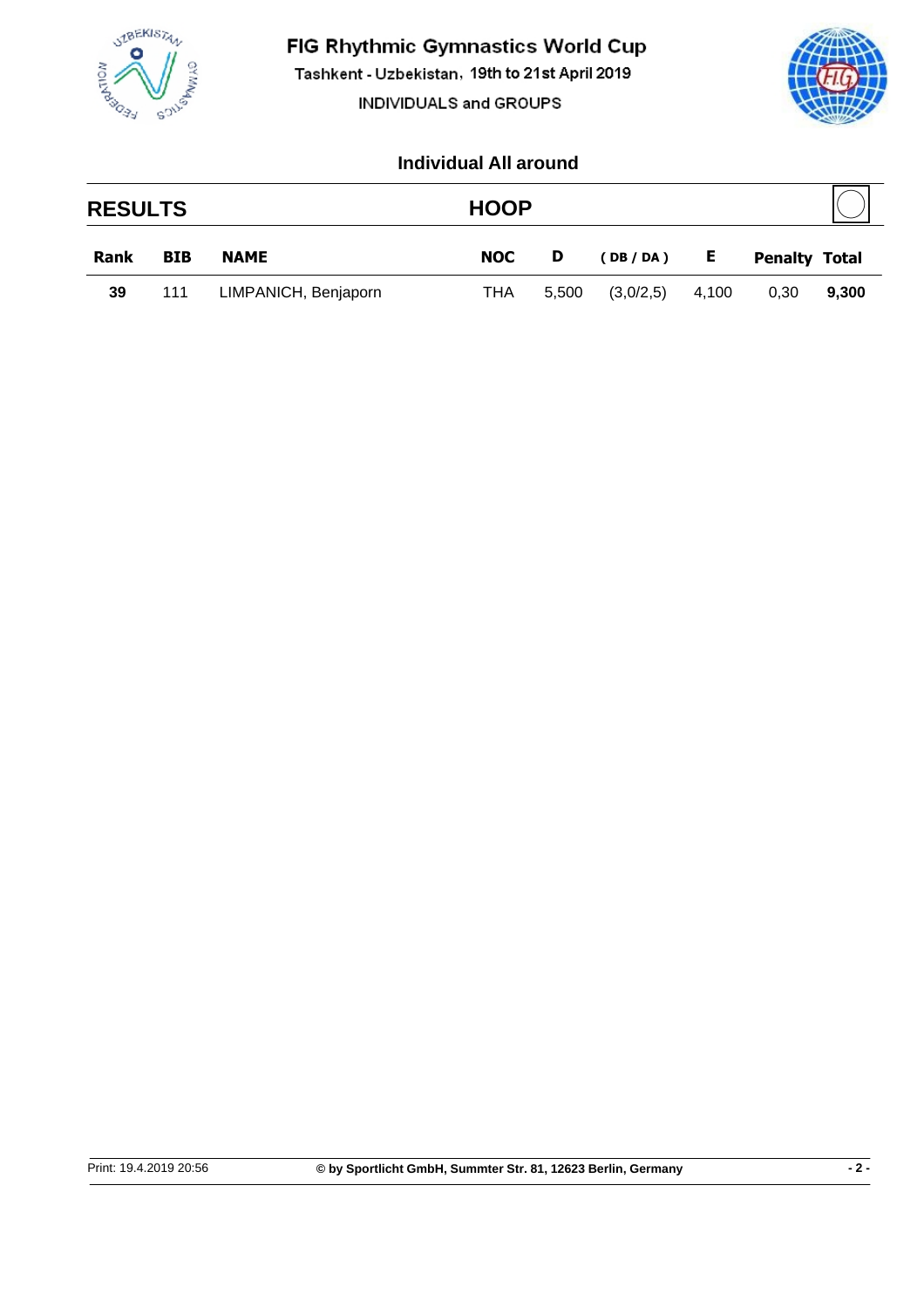

Tashkent - Uzbekistan, 19th to 21st April 2019

INDIVIDUALS and GROUPS



|             | <b>RESULTS</b> |                      |            | <b>HOOP</b> |           |       |                      |       |
|-------------|----------------|----------------------|------------|-------------|-----------|-------|----------------------|-------|
| <b>Rank</b> | <b>BIB</b>     | <b>NAME</b>          | <b>NOC</b> | D           | (DB/DA)   | E     | <b>Penalty Total</b> |       |
| 39          | 111            | LIMPANICH, Benjaporn | THA        | 5,500       | (3,0/2,5) | 4,100 | 0.30                 | 9,300 |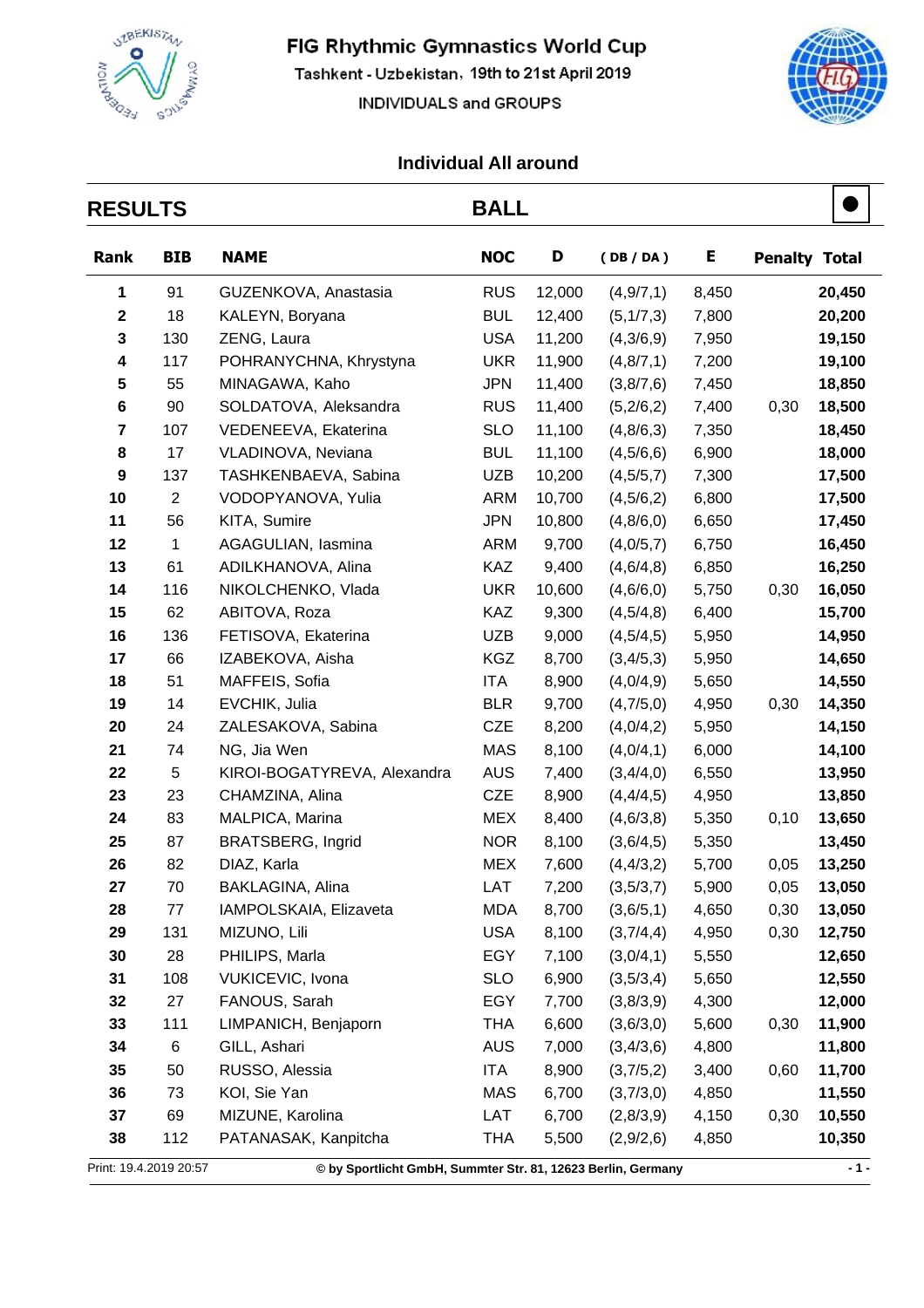

Tashkent - Uzbekistan, 19th to 21st April 2019

INDIVIDUALS and GROUPS



т

| <b>RESULTS</b>          |                |                                                              | <b>BALL</b> |        |             |       |                      |        |
|-------------------------|----------------|--------------------------------------------------------------|-------------|--------|-------------|-------|----------------------|--------|
| Rank                    | <b>BIB</b>     | <b>NAME</b>                                                  | <b>NOC</b>  | D      | (DB/DA)     | Е     | <b>Penalty Total</b> |        |
| 1                       | 91             | GUZENKOVA, Anastasia                                         | <b>RUS</b>  | 12,000 | (4,9/7,1)   | 8,450 |                      | 20,450 |
| $\mathbf 2$             | 18             | KALEYN, Boryana                                              | <b>BUL</b>  | 12,400 | (5, 1/7, 3) | 7,800 |                      | 20,200 |
| 3                       | 130            | ZENG, Laura                                                  | <b>USA</b>  | 11,200 | (4,3/6,9)   | 7,950 |                      | 19,150 |
| 4                       | 117            | POHRANYCHNA, Khrystyna                                       | <b>UKR</b>  | 11,900 | (4, 8/7, 1) | 7,200 |                      | 19,100 |
| 5                       | 55             | MINAGAWA, Kaho                                               | <b>JPN</b>  | 11,400 | (3,8/7,6)   | 7,450 |                      | 18,850 |
| 6                       | 90             | SOLDATOVA, Aleksandra                                        | <b>RUS</b>  | 11,400 | (5,2/6,2)   | 7,400 | 0,30                 | 18,500 |
| $\overline{\mathbf{7}}$ | 107            | VEDENEEVA, Ekaterina                                         | <b>SLO</b>  | 11,100 | (4, 8/6, 3) | 7,350 |                      | 18,450 |
| 8                       | 17             | VLADINOVA, Neviana                                           | <b>BUL</b>  | 11,100 | (4,5/6,6)   | 6,900 |                      | 18,000 |
| 9                       | 137            | TASHKENBAEVA, Sabina                                         | UZB         | 10,200 | (4, 5/5, 7) | 7,300 |                      | 17,500 |
| 10                      | $\overline{2}$ | VODOPYANOVA, Yulia                                           | <b>ARM</b>  | 10,700 | (4,5/6,2)   | 6,800 |                      | 17,500 |
| 11                      | 56             | KITA, Sumire                                                 | <b>JPN</b>  | 10,800 | (4,8/6,0)   | 6,650 |                      | 17,450 |
| 12                      | 1              | AGAGULIAN, lasmina                                           | ARM         | 9,700  | (4,0/5,7)   | 6,750 |                      | 16,450 |
| 13                      | 61             | ADILKHANOVA, Alina                                           | <b>KAZ</b>  | 9,400  | (4,6/4,8)   | 6,850 |                      | 16,250 |
| 14                      | 116            | NIKOLCHENKO, Vlada                                           | <b>UKR</b>  | 10,600 | (4,6/6,0)   | 5,750 | 0,30                 | 16,050 |
| 15                      | 62             | ABITOVA, Roza                                                | <b>KAZ</b>  | 9,300  | (4,5/4,8)   | 6,400 |                      | 15,700 |
| 16                      | 136            | FETISOVA, Ekaterina                                          | <b>UZB</b>  | 9,000  | (4,5/4,5)   | 5,950 |                      | 14,950 |
| 17                      | 66             | IZABEKOVA, Aisha                                             | <b>KGZ</b>  | 8,700  | (3, 4/5, 3) | 5,950 |                      | 14,650 |
| 18                      | 51             | MAFFEIS, Sofia                                               | ITA         | 8,900  | (4,0/4,9)   | 5,650 |                      | 14,550 |
| 19                      | 14             | EVCHIK, Julia                                                | <b>BLR</b>  | 9,700  | (4,7/5,0)   | 4,950 | 0,30                 | 14,350 |
| 20                      | 24             | ZALESAKOVA, Sabina                                           | <b>CZE</b>  | 8,200  | (4,0/4,2)   | 5,950 |                      | 14,150 |
| 21                      | 74             | NG, Jia Wen                                                  | <b>MAS</b>  | 8,100  | (4,0/4,1)   | 6,000 |                      | 14,100 |
| 22                      | 5              | KIROI-BOGATYREVA, Alexandra                                  | <b>AUS</b>  | 7,400  | (3,4/4,0)   | 6,550 |                      | 13,950 |
| 23                      | 23             | CHAMZINA, Alina                                              | <b>CZE</b>  | 8,900  | (4,4/4,5)   | 4,950 |                      | 13,850 |
| 24                      | 83             | MALPICA, Marina                                              | <b>MEX</b>  | 8,400  | (4,6/3,8)   | 5,350 | 0,10                 | 13,650 |
| 25                      | 87             | <b>BRATSBERG, Ingrid</b>                                     | <b>NOR</b>  | 8,100  | (3,6/4,5)   | 5,350 |                      | 13,450 |
| 26                      | 82             | DIAZ, Karla                                                  | <b>MEX</b>  | 7,600  | (4, 4/3, 2) | 5,700 | 0,05                 | 13,250 |
| 27                      | 70             | BAKLAGINA, Alina                                             | LAT         | 7,200  | (3,5/3,7)   | 5,900 | 0,05                 | 13,050 |
| 28                      | 77             | IAMPOLSKAIA, Elizaveta                                       | <b>MDA</b>  | 8,700  | (3,6/5,1)   | 4,650 | 0,30                 | 13,050 |
| 29                      | 131            | MIZUNO, Lili                                                 | <b>USA</b>  | 8,100  | (3,7/4,4)   | 4,950 | 0,30                 | 12,750 |
| 30                      | 28             | PHILIPS, Marla                                               | EGY         | 7,100  | (3,0/4,1)   | 5,550 |                      | 12,650 |
| 31                      | 108            | VUKICEVIC, Ivona                                             | <b>SLO</b>  | 6,900  | (3,5/3,4)   | 5,650 |                      | 12,550 |
| 32                      | 27             | FANOUS, Sarah                                                | EGY         | 7,700  | (3,8/3,9)   | 4,300 |                      | 12,000 |
| 33                      | 111            | LIMPANICH, Benjaporn                                         | <b>THA</b>  | 6,600  | (3,6/3,0)   | 5,600 | 0,30                 | 11,900 |
| 34                      | 6              | GILL, Ashari                                                 | <b>AUS</b>  | 7,000  | (3,4/3,6)   | 4,800 |                      | 11,800 |
| 35                      | 50             | RUSSO, Alessia                                               | ITA         | 8,900  | (3,7/5,2)   | 3,400 | 0,60                 | 11,700 |
| 36                      | 73             | KOI, Sie Yan                                                 | MAS         | 6,700  | (3,7/3,0)   | 4,850 |                      | 11,550 |
| 37                      | 69             | MIZUNE, Karolina                                             | LAT         | 6,700  | (2,8/3,9)   | 4,150 | 0,30                 | 10,550 |
| 38                      | 112            | PATANASAK, Kanpitcha                                         | <b>THA</b>  | 5,500  | (2,9/2,6)   | 4,850 |                      | 10,350 |
| Print: 19.4.2019 20:57  |                | © by Sportlicht GmbH, Summter Str. 81, 12623 Berlin, Germany |             |        |             |       |                      | $-1 -$ |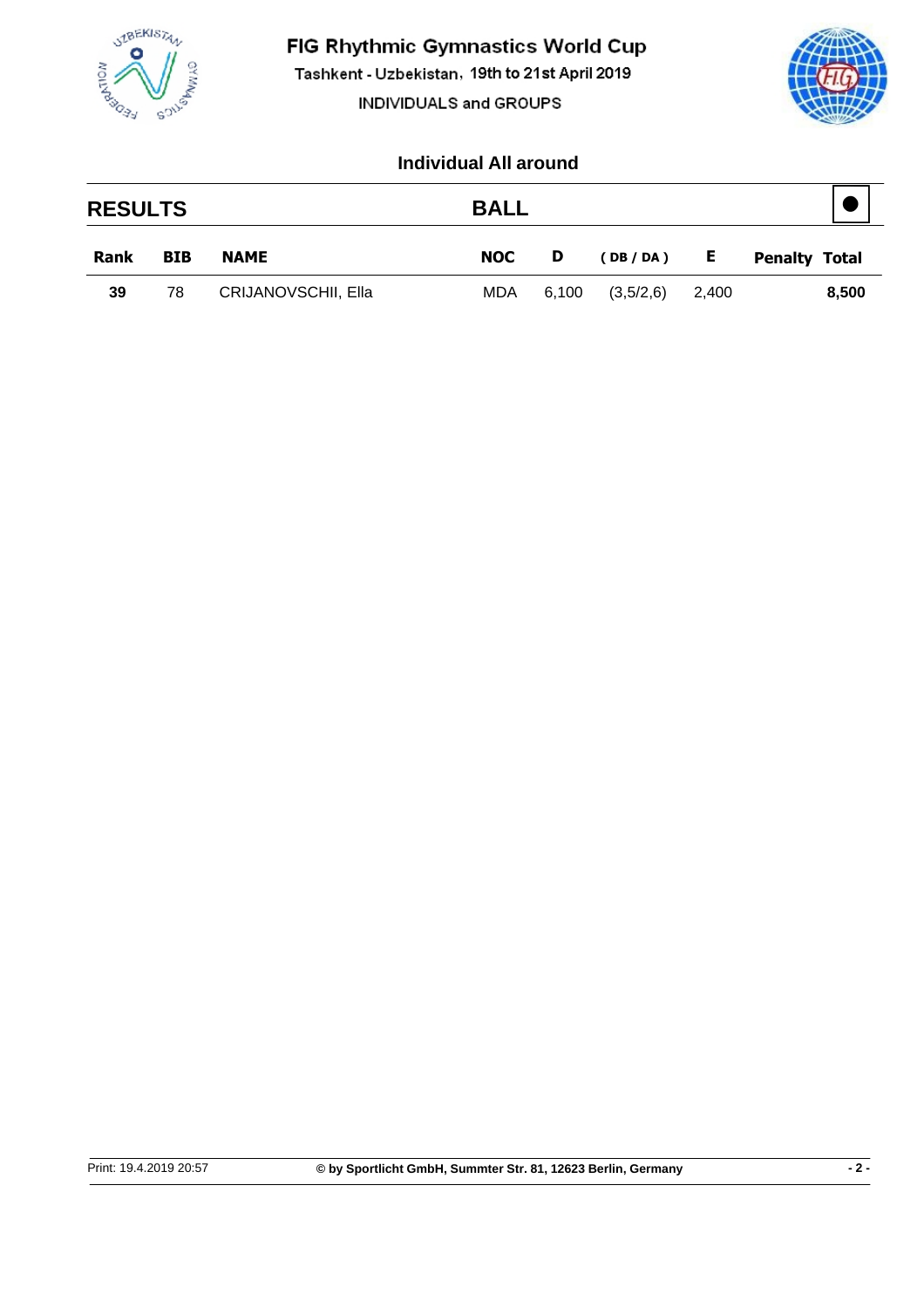

Tashkent - Uzbekistan, 19th to 21st April 2019

INDIVIDUALS and GROUPS



| <b>RESULTS</b> |            |                            | <b>BALL</b> |       |           |       |                      |
|----------------|------------|----------------------------|-------------|-------|-----------|-------|----------------------|
| Rank           | <b>BIB</b> | <b>NAME</b>                | <b>NOC</b>  | D     | (DB/DA)   | E.    | <b>Penalty Total</b> |
| 39             | 78         | <b>CRIJANOVSCHII, Ella</b> | <b>MDA</b>  | 6,100 | (3,5/2,6) | 2,400 | 8,500                |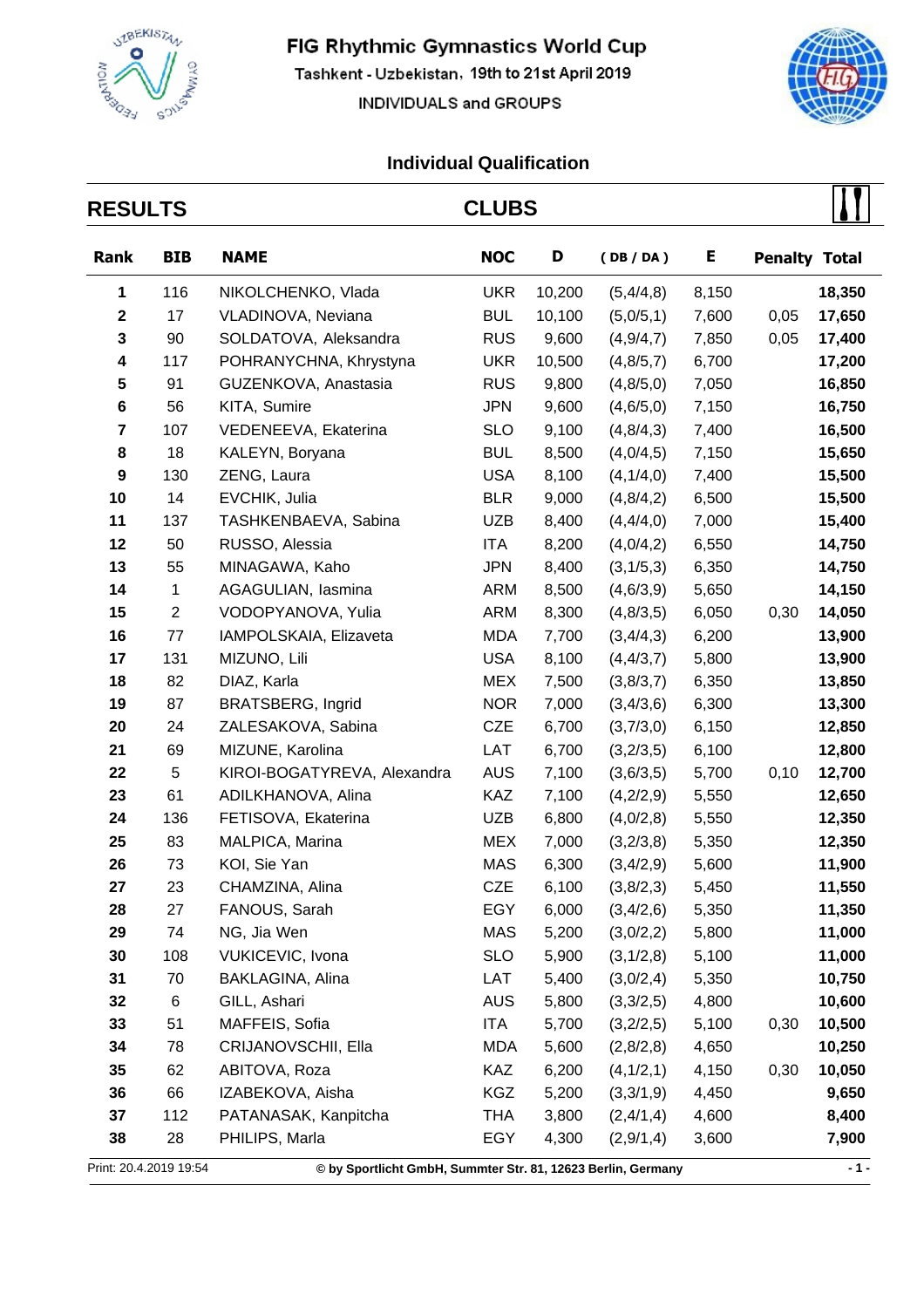

Tashkent - Uzbekistan, 19th to 21st April 2019

INDIVIDUALS and GROUPS



 $\overline{\phantom{a}}$ 

| <b>RESULTS</b>          |                |                                                              | <b>CLUBS</b> |        |             |       |                      |        |
|-------------------------|----------------|--------------------------------------------------------------|--------------|--------|-------------|-------|----------------------|--------|
| Rank                    | <b>BIB</b>     | <b>NAME</b>                                                  | <b>NOC</b>   | D      | (DB/DA)     | E     | <b>Penalty Total</b> |        |
| 1                       | 116            | NIKOLCHENKO, Vlada                                           | <b>UKR</b>   | 10,200 | (5,4/4,8)   | 8,150 |                      | 18,350 |
| $\mathbf 2$             | 17             | VLADINOVA, Neviana                                           | <b>BUL</b>   | 10,100 | (5,0/5,1)   | 7,600 | 0,05                 | 17,650 |
| 3                       | 90             | SOLDATOVA, Aleksandra                                        | <b>RUS</b>   | 9,600  | (4,9/4,7)   | 7,850 | 0,05                 | 17,400 |
| 4                       | 117            | POHRANYCHNA, Khrystyna                                       | <b>UKR</b>   | 10,500 | (4, 8/5, 7) | 6,700 |                      | 17,200 |
| 5                       | 91             | GUZENKOVA, Anastasia                                         | <b>RUS</b>   | 9,800  | (4, 8/5, 0) | 7,050 |                      | 16,850 |
| 6                       | 56             | KITA, Sumire                                                 | <b>JPN</b>   | 9,600  | (4, 6/5, 0) | 7,150 |                      | 16,750 |
| $\overline{\mathbf{7}}$ | 107            | VEDENEEVA, Ekaterina                                         | <b>SLO</b>   | 9,100  | (4, 8/4, 3) | 7,400 |                      | 16,500 |
| 8                       | 18             | KALEYN, Boryana                                              | <b>BUL</b>   | 8,500  | (4,0/4,5)   | 7,150 |                      | 15,650 |
| 9                       | 130            | ZENG, Laura                                                  | <b>USA</b>   | 8,100  | (4,1/4,0)   | 7,400 |                      | 15,500 |
| 10                      | 14             | EVCHIK, Julia                                                | <b>BLR</b>   | 9,000  | (4, 8/4, 2) | 6,500 |                      | 15,500 |
| 11                      | 137            | TASHKENBAEVA, Sabina                                         | <b>UZB</b>   | 8,400  | (4,4/4,0)   | 7,000 |                      | 15,400 |
| 12                      | 50             | RUSSO, Alessia                                               | ITA          | 8,200  | (4,0/4,2)   | 6,550 |                      | 14,750 |
| 13                      | 55             | MINAGAWA, Kaho                                               | <b>JPN</b>   | 8,400  | (3,1/5,3)   | 6,350 |                      | 14,750 |
| 14                      | $\mathbf{1}$   | AGAGULIAN, lasmina                                           | <b>ARM</b>   | 8,500  | (4, 6/3, 9) | 5,650 |                      | 14,150 |
| 15                      | $\overline{c}$ | VODOPYANOVA, Yulia                                           | <b>ARM</b>   | 8,300  | (4, 8/3, 5) | 6,050 | 0,30                 | 14,050 |
| 16                      | 77             | IAMPOLSKAIA, Elizaveta                                       | <b>MDA</b>   | 7,700  | (3,4/4,3)   | 6,200 |                      | 13,900 |
| 17                      | 131            | MIZUNO, Lili                                                 | <b>USA</b>   | 8,100  | (4, 4/3, 7) | 5,800 |                      | 13,900 |
| 18                      | 82             | DIAZ, Karla                                                  | <b>MEX</b>   | 7,500  | (3,8/3,7)   | 6,350 |                      | 13,850 |
| 19                      | 87             | <b>BRATSBERG, Ingrid</b>                                     | <b>NOR</b>   | 7,000  | (3,4/3,6)   | 6,300 |                      | 13,300 |
| 20                      | 24             | ZALESAKOVA, Sabina                                           | <b>CZE</b>   | 6,700  | (3,7/3,0)   | 6,150 |                      | 12,850 |
| 21                      | 69             | MIZUNE, Karolina                                             | LAT          | 6,700  | (3,2/3,5)   | 6,100 |                      | 12,800 |
| 22                      | 5              | KIROI-BOGATYREVA, Alexandra                                  | <b>AUS</b>   | 7,100  | (3,6/3,5)   | 5,700 | 0,10                 | 12,700 |
| 23                      | 61             | ADILKHANOVA, Alina                                           | <b>KAZ</b>   | 7,100  | (4,2/2,9)   | 5,550 |                      | 12,650 |
| 24                      | 136            | FETISOVA, Ekaterina                                          | <b>UZB</b>   | 6,800  | (4,0/2,8)   | 5,550 |                      | 12,350 |
| 25                      | 83             | MALPICA, Marina                                              | <b>MEX</b>   | 7,000  | (3,2/3,8)   | 5,350 |                      | 12,350 |
| 26                      | 73             | KOI, Sie Yan                                                 | <b>MAS</b>   | 6,300  | (3,4/2,9)   | 5,600 |                      | 11,900 |
| 27                      | 23             | CHAMZINA, Alina                                              | <b>CZE</b>   | 6,100  | (3,8/2,3)   | 5,450 |                      | 11,550 |
| 28                      | 27             | FANOUS, Sarah                                                | EGY          | 6,000  | (3,4/2,6)   | 5,350 |                      | 11,350 |
| 29                      | 74             | NG, Jia Wen                                                  | <b>MAS</b>   | 5,200  | (3,0/2,2)   | 5,800 |                      | 11,000 |
| 30                      | 108            | VUKICEVIC, Ivona                                             | <b>SLO</b>   | 5,900  | (3,1/2,8)   | 5,100 |                      | 11,000 |
| 31                      | 70             | BAKLAGINA, Alina                                             | LAT          | 5,400  | (3,0/2,4)   | 5,350 |                      | 10,750 |
| 32                      | 6              | GILL, Ashari                                                 | <b>AUS</b>   | 5,800  | (3,3/2,5)   | 4,800 |                      | 10,600 |
| 33                      | 51             | MAFFEIS, Sofia                                               | ITA          | 5,700  | (3,2/2,5)   | 5,100 | 0,30                 | 10,500 |
| 34                      | 78             | CRIJANOVSCHII, Ella                                          | MDA          | 5,600  | (2,8/2,8)   | 4,650 |                      | 10,250 |
| 35                      | 62             | ABITOVA, Roza                                                | KAZ          | 6,200  | (4,1/2,1)   | 4,150 | 0,30                 | 10,050 |
| 36                      | 66             | IZABEKOVA, Aisha                                             | <b>KGZ</b>   | 5,200  | (3,3/1,9)   | 4,450 |                      | 9,650  |
| 37                      | 112            | PATANASAK, Kanpitcha                                         | THA          | 3,800  | (2,4/1,4)   | 4,600 |                      | 8,400  |
| 38                      | 28             | PHILIPS, Marla                                               | EGY          | 4,300  | (2,9/1,4)   | 3,600 |                      | 7,900  |
| Print: 20.4.2019 19:54  |                | © by Sportlicht GmbH, Summter Str. 81, 12623 Berlin, Germany |              |        |             |       |                      | $-1-$  |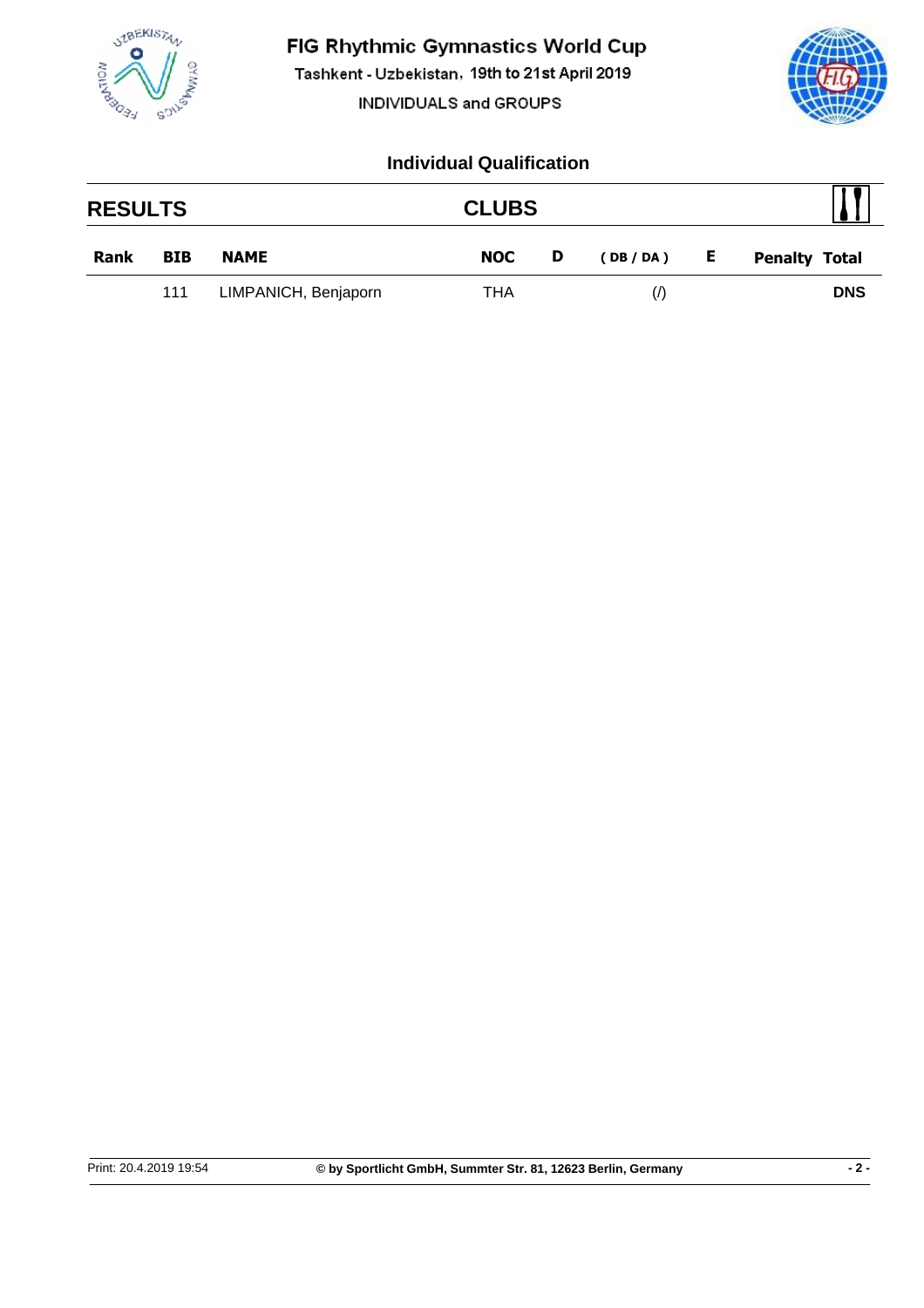

Tashkent - Uzbekistan, 19th to 21st April 2019

INDIVIDUALS and GROUPS



| <b>RESULTS</b> |            |                      | <b>CLUBS</b> |   |                   |   |                      |
|----------------|------------|----------------------|--------------|---|-------------------|---|----------------------|
| Rank           | <b>BIB</b> | <b>NAME</b>          | <b>NOC</b>   | D | (DB / DA )        | E | <b>Penalty Total</b> |
|                | 111        | LIMPANICH, Benjaporn | THA          |   | $\langle \rangle$ |   | <b>DNS</b>           |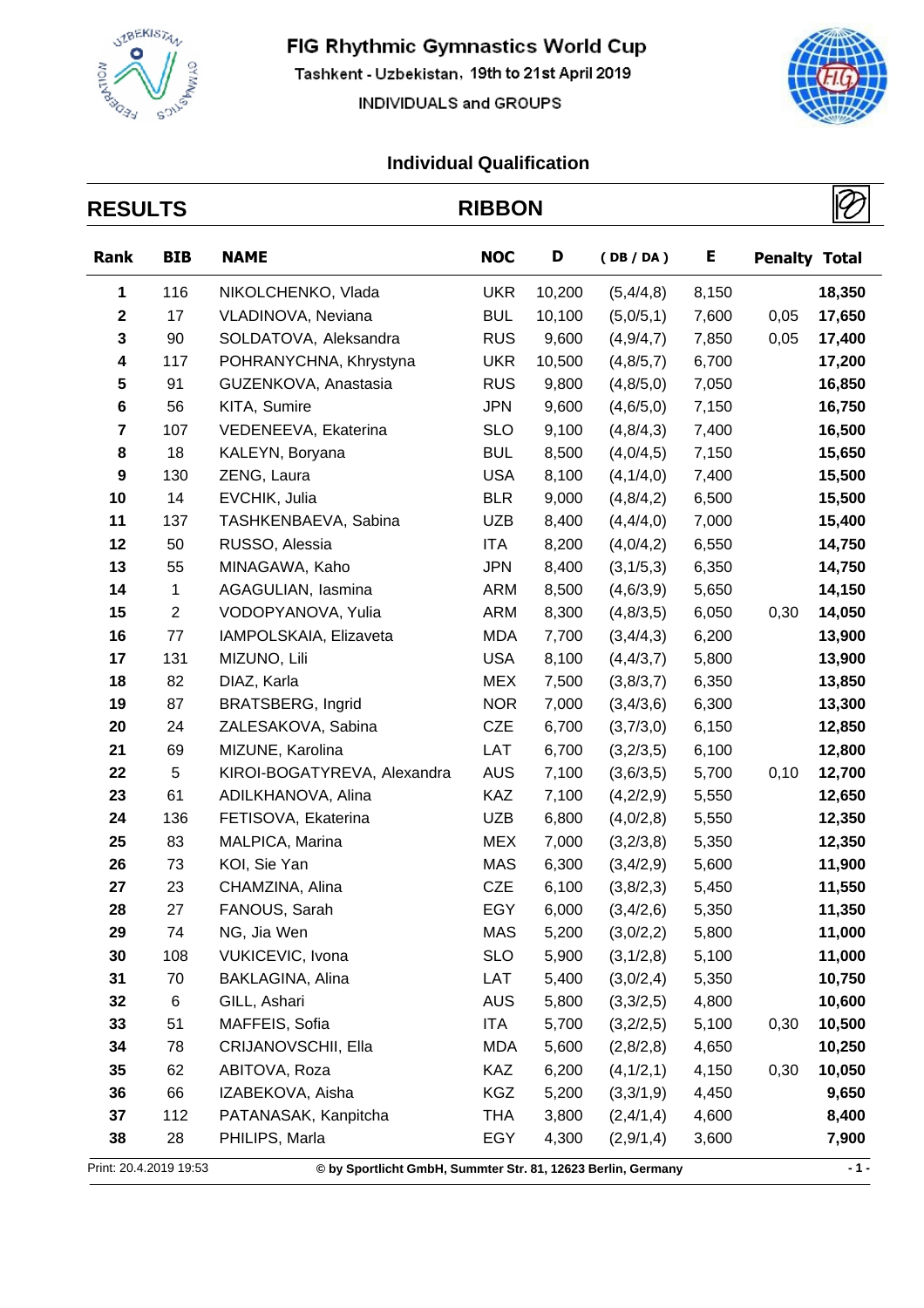

Tashkent - Uzbekistan, 19th to 21st April 2019

INDIVIDUALS and GROUPS



| <b>RESULTS</b>         |                |                                                              | <b>RIBBON</b> |        |             |       |                      |        |
|------------------------|----------------|--------------------------------------------------------------|---------------|--------|-------------|-------|----------------------|--------|
| Rank                   | <b>BIB</b>     | <b>NAME</b>                                                  | <b>NOC</b>    | D      | (DB / DA)   | Е     | <b>Penalty Total</b> |        |
| 1                      | 116            | NIKOLCHENKO, Vlada                                           | <b>UKR</b>    | 10,200 | (5,4/4,8)   | 8,150 |                      | 18,350 |
| $\mathbf{2}$           | 17             | VLADINOVA, Neviana                                           | <b>BUL</b>    | 10,100 | (5,0/5,1)   | 7,600 | 0,05                 | 17,650 |
| 3                      | 90             | SOLDATOVA, Aleksandra                                        | <b>RUS</b>    | 9,600  | (4,9/4,7)   | 7,850 | 0,05                 | 17,400 |
| 4                      | 117            | POHRANYCHNA, Khrystyna                                       | <b>UKR</b>    | 10,500 | (4, 8/5, 7) | 6,700 |                      | 17,200 |
| 5                      | 91             | GUZENKOVA, Anastasia                                         | <b>RUS</b>    | 9,800  | (4, 8/5, 0) | 7,050 |                      | 16,850 |
| 6                      | 56             | KITA, Sumire                                                 | <b>JPN</b>    | 9,600  | (4, 6/5, 0) | 7,150 |                      | 16,750 |
| $\overline{7}$         | 107            | VEDENEEVA, Ekaterina                                         | <b>SLO</b>    | 9,100  | (4, 8/4, 3) | 7,400 |                      | 16,500 |
| 8                      | 18             | KALEYN, Boryana                                              | <b>BUL</b>    | 8,500  | (4,0/4,5)   | 7,150 |                      | 15,650 |
| 9                      | 130            | ZENG, Laura                                                  | <b>USA</b>    | 8,100  | (4,1/4,0)   | 7,400 |                      | 15,500 |
| 10                     | 14             | EVCHIK, Julia                                                | <b>BLR</b>    | 9,000  | (4,8/4,2)   | 6,500 |                      | 15,500 |
| 11                     | 137            | TASHKENBAEVA, Sabina                                         | <b>UZB</b>    | 8,400  | (4,4/4,0)   | 7,000 |                      | 15,400 |
| 12                     | 50             | RUSSO, Alessia                                               | ITA           | 8,200  | (4,0/4,2)   | 6,550 |                      | 14,750 |
| 13                     | 55             | MINAGAWA, Kaho                                               | <b>JPN</b>    | 8,400  | (3,1/5,3)   | 6,350 |                      | 14,750 |
| 14                     | 1              | AGAGULIAN, lasmina                                           | ARM           | 8,500  | (4,6/3,9)   | 5,650 |                      | 14,150 |
| 15                     | $\overline{2}$ | VODOPYANOVA, Yulia                                           | <b>ARM</b>    | 8,300  | (4, 8/3, 5) | 6,050 | 0,30                 | 14,050 |
| 16                     | 77             | IAMPOLSKAIA, Elizaveta                                       | <b>MDA</b>    | 7,700  | (3,4/4,3)   | 6,200 |                      | 13,900 |
| 17                     | 131            | MIZUNO, Lili                                                 | <b>USA</b>    | 8,100  | (4, 4/3, 7) | 5,800 |                      | 13,900 |
| 18                     | 82             | DIAZ, Karla                                                  | <b>MEX</b>    | 7,500  | (3,8/3,7)   | 6,350 |                      | 13,850 |
| 19                     | 87             | <b>BRATSBERG, Ingrid</b>                                     | <b>NOR</b>    | 7,000  | (3,4/3,6)   | 6,300 |                      | 13,300 |
| 20                     | 24             | ZALESAKOVA, Sabina                                           | <b>CZE</b>    | 6,700  | (3,7/3,0)   | 6,150 |                      | 12,850 |
| 21                     | 69             | MIZUNE, Karolina                                             | LAT           | 6,700  | (3,2/3,5)   | 6,100 |                      | 12,800 |
| 22                     | 5              | KIROI-BOGATYREVA, Alexandra                                  | <b>AUS</b>    | 7,100  | (3,6/3,5)   | 5,700 | 0,10                 | 12,700 |
| 23                     | 61             | ADILKHANOVA, Alina                                           | <b>KAZ</b>    | 7,100  | (4,2/2,9)   | 5,550 |                      | 12,650 |
| 24                     | 136            | FETISOVA, Ekaterina                                          | <b>UZB</b>    | 6,800  | (4,0/2,8)   | 5,550 |                      | 12,350 |
| 25                     | 83             | MALPICA, Marina                                              | <b>MEX</b>    | 7,000  | (3,2/3,8)   | 5,350 |                      | 12,350 |
| 26                     | 73             | KOI, Sie Yan                                                 | <b>MAS</b>    | 6,300  | (3,4/2,9)   | 5,600 |                      | 11,900 |
| 27                     | 23             | CHAMZINA, Alina                                              | <b>CZE</b>    | 6,100  | (3,8/2,3)   | 5,450 |                      | 11,550 |
| 28                     | 27             | FANOUS, Sarah                                                | EGY           | 6,000  | (3,4/2,6)   | 5,350 |                      | 11,350 |
| 29                     | 74             | NG, Jia Wen                                                  | <b>MAS</b>    | 5,200  | (3,0/2,2)   | 5,800 |                      | 11,000 |
| 30                     | 108            | VUKICEVIC, Ivona                                             | <b>SLO</b>    | 5,900  | (3,1/2,8)   | 5,100 |                      | 11,000 |
| 31                     | 70             | BAKLAGINA, Alina                                             | LAT           | 5,400  | (3,0/2,4)   | 5,350 |                      | 10,750 |
| 32                     | 6              | GILL, Ashari                                                 | <b>AUS</b>    | 5,800  | (3,3/2,5)   | 4,800 |                      | 10,600 |
| 33                     | 51             | MAFFEIS, Sofia                                               | ITA           | 5,700  | (3,2/2,5)   | 5,100 | 0,30                 | 10,500 |
| 34                     | 78             | CRIJANOVSCHII, Ella                                          | <b>MDA</b>    | 5,600  | (2,8/2,8)   | 4,650 |                      | 10,250 |
| 35                     | 62             | ABITOVA, Roza                                                | KAZ           | 6,200  | (4,1/2,1)   | 4,150 | 0,30                 | 10,050 |
| 36                     | 66             | IZABEKOVA, Aisha                                             | <b>KGZ</b>    | 5,200  | (3,3/1,9)   | 4,450 |                      | 9,650  |
| 37                     | 112            | PATANASAK, Kanpitcha                                         | <b>THA</b>    | 3,800  | (2,4/1,4)   | 4,600 |                      | 8,400  |
| 38                     | 28             | PHILIPS, Marla                                               | EGY           | 4,300  | (2,9/1,4)   | 3,600 |                      | 7,900  |
| Print: 20.4.2019 19:53 |                | © by Sportlicht GmbH, Summter Str. 81, 12623 Berlin, Germany |               |        |             |       |                      | $-1 -$ |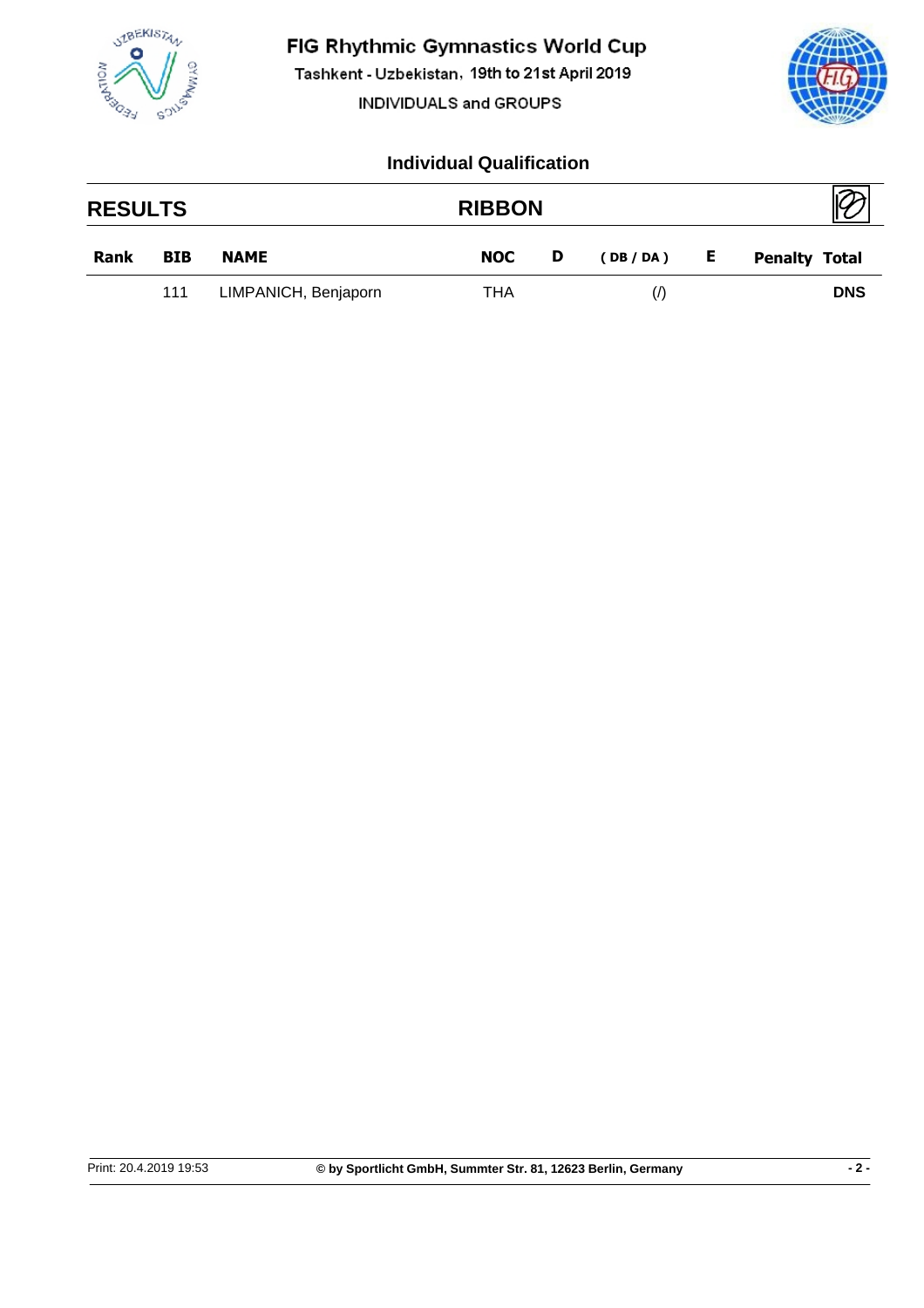

Tashkent - Uzbekistan, 19th to 21st April 2019

INDIVIDUALS and GROUPS



| <b>RESULTS</b> |            |                      | <b>RIBBON</b> |   |                   |    |                      |
|----------------|------------|----------------------|---------------|---|-------------------|----|----------------------|
| Rank           | <b>BIB</b> | <b>NAME</b>          | <b>NOC</b>    | D | (DB/DA)           | E. | <b>Penalty Total</b> |
|                | 111        | LIMPANICH, Benjaporn | THA           |   | $\langle \rangle$ |    | <b>DNS</b>           |